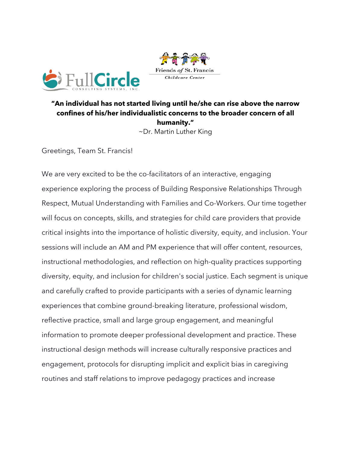

## **"An individual has not started living until he/she can rise above the narrow confines of his/her individualistic concerns to the broader concern of all humanity."** ~Dr. Martin Luther King

Friends of St. Francis

Childcare Center

Greetings, Team St. Francis!

We are very excited to be the co-facilitators of an interactive, engaging experience exploring the process of Building Responsive Relationships Through Respect, Mutual Understanding with Families and Co-Workers. Our time together will focus on concepts, skills, and strategies for child care providers that provide critical insights into the importance of holistic diversity, equity, and inclusion. Your sessions will include an AM and PM experience that will offer content, resources, instructional methodologies, and reflection on high-quality practices supporting diversity, equity, and inclusion for children's social justice. Each segment is unique and carefully crafted to provide participants with a series of dynamic learning experiences that combine ground-breaking literature, professional wisdom, reflective practice, small and large group engagement, and meaningful information to promote deeper professional development and practice. These instructional design methods will increase culturally responsive practices and engagement, protocols for disrupting implicit and explicit bias in caregiving routines and staff relations to improve pedagogy practices and increase